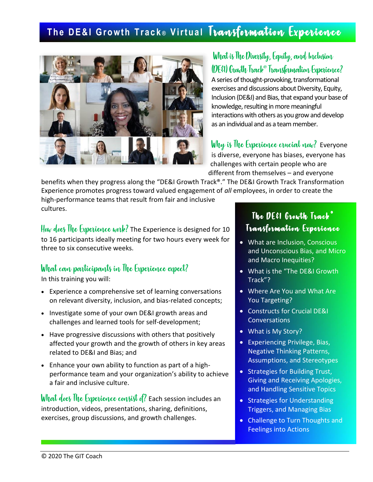## **The DE&I Growth Track® Virtual Transformation Experience**



#### What is TheDiversity, Equity, and Inclusion (DE&I) Growth Track®Transformation Experience?

A series of thought-provoking, transformational exercises and discussions about Diversity, Equity, Inclusion (DE&I) and Bias, that expand your base of knowledge, resulting in more meaningful interactions with others as you grow and develop as an individual and as a team member.

Why is The Experience crucial now? Everyone is diverse, everyone has biases, everyone has challenges with certain people who are different from themselves – and everyone

benefits when they progress along the "DE&I Growth Track®." The DE&I Growth Track Transformation Experience promotes progress toward valued engagement of *all* employees, in order to create the

high-performance teams that result from fair and inclusive cultures.

How does The Experience work? The Experience is designed for 10 to 16 participants ideally meeting for two hours every week for three to six consecutive weeks.

#### What can participants in The Experience expect?

In this training you will:

- Experience a comprehensive set of learning conversations on relevant diversity, inclusion, and bias-related concepts;
- Investigate some of your own DE&I growth areas and challenges and learned tools for self-development;
- Have progressive discussions with others that positively affected your growth and the growth of others in key areas related to DE&I and Bias; and
- Enhance your own ability to function as part of a highperformance team and your organization's ability to achieve a fair and inclusive culture.

What does The Experience consist of? Each session includes an introduction, videos, presentations, sharing, definitions, exercises, group discussions, and growth challenges.

#### The  $\boldsymbol{D}$ E&I Growth Track<sup>®</sup> Transformation Experience

- What are Inclusion, Conscious and Unconscious Bias, and Micro and Macro Inequities?
- What is the "The DE&I Growth Track"?
- Where Are You and What Are You Targeting?
- Constructs for Crucial DE&I **Conversations**
- What is My Story?
- Experiencing Privilege, Bias, Negative Thinking Patterns, Assumptions, and Stereotypes
- Strategies for Building Trust, Giving and Receiving Apologies, and Handling Sensitive Topics
- Strategies for Understanding Triggers, and Managing Bias
- Challenge to Turn Thoughts and Feelings into Actions